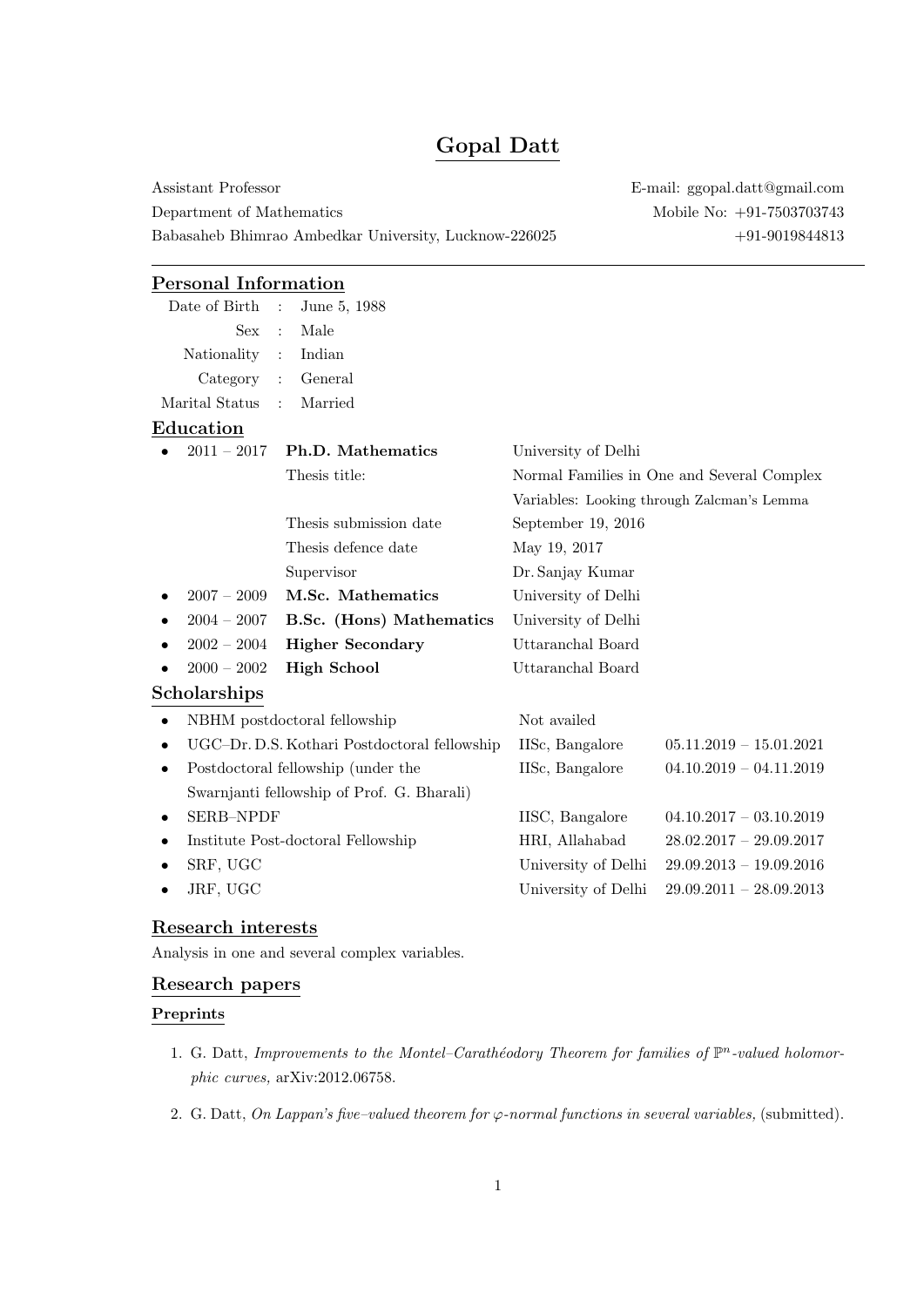# Gopal Datt

Assistant Professor E-mail: ggopal.datt@gmail.com Department of Mathematics Mobile No:  $+91-7503703743$ Babasaheb Bhimrao Ambedkar University, Lucknow-226025 +91-9019844813

# Personal Information

| Date of Birth                                   | June 5, 1988<br>$\mathbb{R}^2$             |                     |                                            |
|-------------------------------------------------|--------------------------------------------|---------------------|--------------------------------------------|
| <b>Sex</b>                                      | Male<br>$\cdot$                            |                     |                                            |
| Nationality                                     | Indian<br>$\ddot{\cdot}$                   |                     |                                            |
| Category                                        | General<br>$\ddot{\cdot}$                  |                     |                                            |
| Marital Status                                  | Married<br>$\ddot{\cdot}$                  |                     |                                            |
| Education                                       |                                            |                     |                                            |
| $2011 - 2017$                                   | <b>Ph.D.</b> Mathematics                   | University of Delhi |                                            |
|                                                 | Thesis title:                              |                     | Normal Families in One and Several Complex |
|                                                 |                                            |                     | Variables: Looking through Zalcman's Lemma |
|                                                 | Thesis submission date                     | September 19, 2016  |                                            |
|                                                 | Thesis defence date                        | May 19, 2017        |                                            |
|                                                 | Supervisor                                 | Dr. Sanjay Kumar    |                                            |
| $2007 - 2009$                                   | M.Sc. Mathematics                          | University of Delhi |                                            |
| $2004 - 2007$                                   | B.Sc. (Hons) Mathematics                   | University of Delhi |                                            |
| $2002 - 2004$                                   | <b>Higher Secondary</b>                    | Uttaranchal Board   |                                            |
| $2000 - 2002$                                   | <b>High School</b>                         | Uttaranchal Board   |                                            |
| Scholarships                                    |                                            |                     |                                            |
| NBHM postdoctoral fellowship<br>$\bullet$       |                                            | Not availed         |                                            |
| UGC-Dr. D.S. Kothari Postdoctoral fellowship    |                                            | IISc, Bangalore     | $05.11.2019 - 15.01.2021$                  |
| Postdoctoral fellowship (under the<br>$\bullet$ |                                            | IISc, Bangalore     | $04.10.2019 - 04.11.2019$                  |
|                                                 | Swarnjanti fellowship of Prof. G. Bharali) |                     |                                            |
| <b>SERB-NPDF</b><br>٠                           |                                            | IISC, Bangalore     | $04.10.2017 - 03.10.2019$                  |
| Institute Post-doctoral Fellowship<br>٠         |                                            | HRI, Allahabad      | $28.02.2017 - 29.09.2017$                  |
| SRF, UGC                                        |                                            | University of Delhi | $29.09.2013 - 19.09.2016$                  |
| JRF, UGC                                        |                                            | University of Delhi | $29.09.2011 - 28.09.2013$                  |

# Research interests

Analysis in one and several complex variables.

## Research papers

#### Preprints

- 1. G. Datt, Improvements to the Montel-Carathéodory Theorem for families of  $\mathbb{P}^n$ -valued holomorphic curves, arXiv:2012.06758.
- 2. G. Datt, On Lappan's five-valued theorem for  $\varphi$ -normal functions in several variables, (submitted).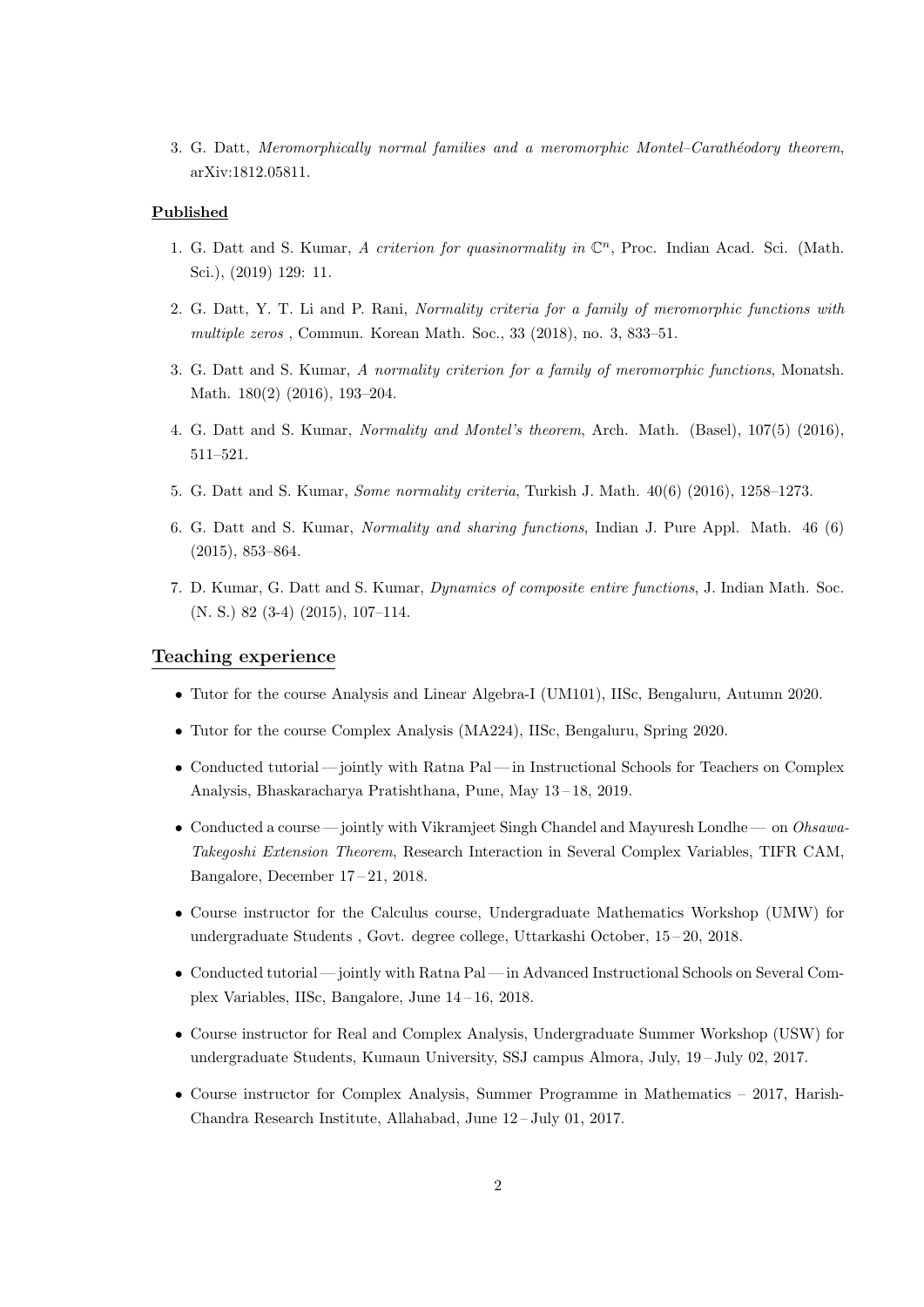3. G. Datt, Meromorphically normal families and a meromorphic Montel–Carathéodory theorem, arXiv:1812.05811.

#### Published

- 1. G. Datt and S. Kumar, A criterion for quasinormality in  $\mathbb{C}^n$ , Proc. Indian Acad. Sci. (Math. Sci.), (2019) 129: 11.
- 2. G. Datt, Y. T. Li and P. Rani, Normality criteria for a family of meromorphic functions with multiple zeros, Commun. Korean Math. Soc., 33 (2018), no. 3, 833-51.
- 3. G. Datt and S. Kumar, A normality criterion for a family of meromorphic functions, Monatsh. Math. 180(2) (2016), 193–204.
- 4. G. Datt and S. Kumar, Normality and Montel's theorem, Arch. Math. (Basel), 107(5) (2016), 511–521.
- 5. G. Datt and S. Kumar, Some normality criteria, Turkish J. Math. 40(6) (2016), 1258–1273.
- 6. G. Datt and S. Kumar, Normality and sharing functions, Indian J. Pure Appl. Math. 46 (6) (2015), 853–864.
- 7. D. Kumar, G. Datt and S. Kumar, Dynamics of composite entire functions, J. Indian Math. Soc. (N. S.) 82 (3-4) (2015), 107–114.

#### Teaching experience

- Tutor for the course Analysis and Linear Algebra-I (UM101), IISc, Bengaluru, Autumn 2020.
- Tutor for the course Complex Analysis (MA224), IISc, Bengaluru, Spring 2020.
- Conducted tutorial jointly with Ratna Pal in Instructional Schools for Teachers on Complex Analysis, Bhaskaracharya Pratishthana, Pune, May 13 – 18, 2019.
- Conducted a course jointly with Vikramjeet Singh Chandel and Mayuresh Londhe on *Ohsawa-*Takegoshi Extension Theorem, Research Interaction in Several Complex Variables, TIFR CAM, Bangalore, December 17 – 21, 2018.
- Course instructor for the Calculus course, Undergraduate Mathematics Workshop (UMW) for undergraduate Students , Govt. degree college, Uttarkashi October, 15 – 20, 2018.
- Conducted tutorial— jointly with Ratna Pal— in Advanced Instructional Schools on Several Complex Variables, IISc, Bangalore, June 14 – 16, 2018.
- Course instructor for Real and Complex Analysis, Undergraduate Summer Workshop (USW) for undergraduate Students, Kumaun University, SSJ campus Almora, July, 19 – July 02, 2017.
- Course instructor for Complex Analysis, Summer Programme in Mathematics 2017, Harish-Chandra Research Institute, Allahabad, June 12 – July 01, 2017.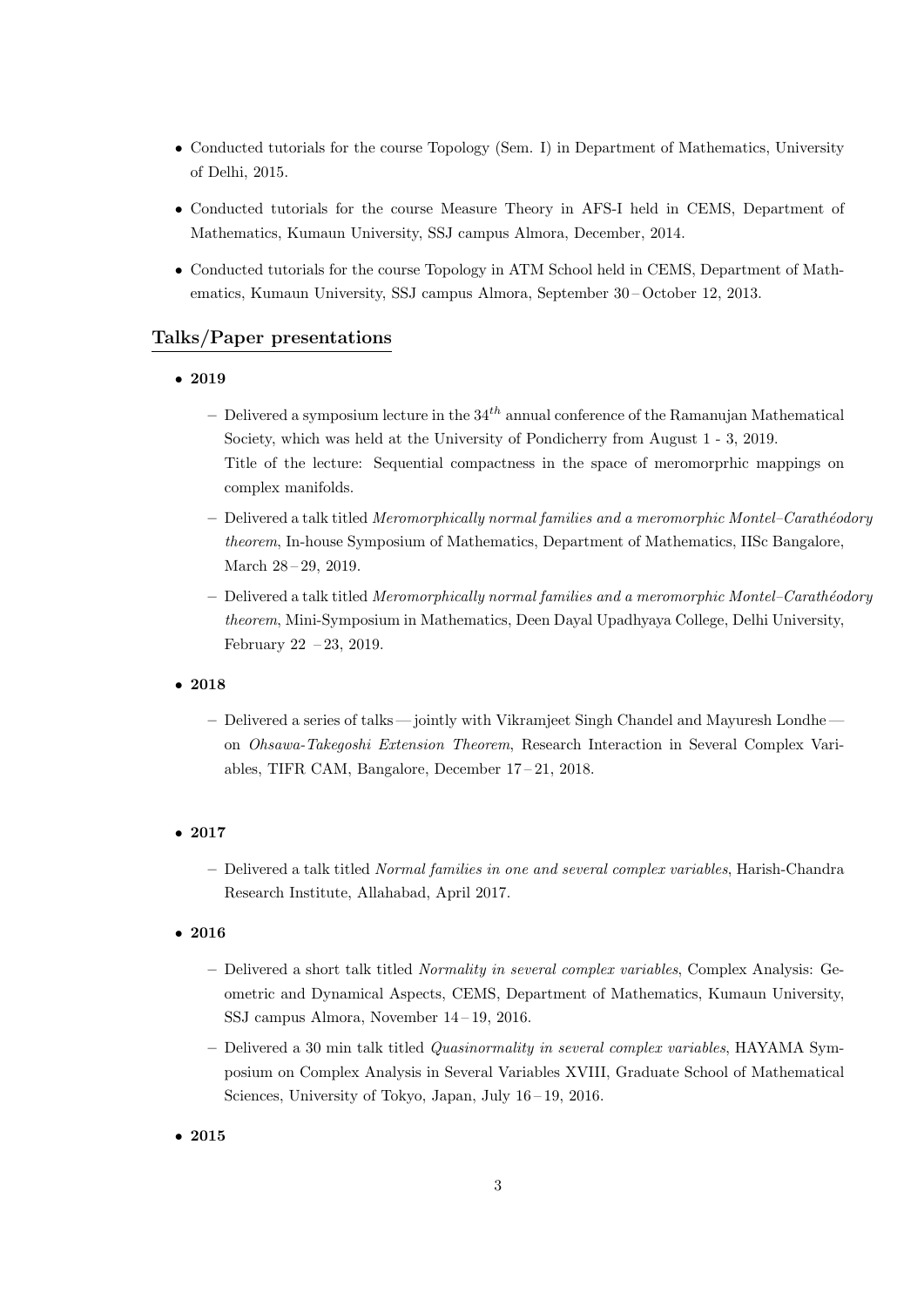- Conducted tutorials for the course Topology (Sem. I) in Department of Mathematics, University of Delhi, 2015.
- Conducted tutorials for the course Measure Theory in AFS-I held in CEMS, Department of Mathematics, Kumaun University, SSJ campus Almora, December, 2014.
- Conducted tutorials for the course Topology in ATM School held in CEMS, Department of Mathematics, Kumaun University, SSJ campus Almora, September 30 – October 12, 2013.

## Talks/Paper presentations

- 2019
	- Delivered a symposium lecture in the  $34<sup>th</sup>$  annual conference of the Ramanujan Mathematical Society, which was held at the University of Pondicherry from August 1 - 3, 2019. Title of the lecture: Sequential compactness in the space of meromorprhic mappings on complex manifolds.
	- $-$  Delivered a talk titled *Meromorphically normal families and a meromorphic Montel–Carathéodory* theorem, In-house Symposium of Mathematics, Department of Mathematics, IISc Bangalore, March 28 – 29, 2019.
	- $-$  Delivered a talk titled *Meromorphically normal families and a meromorphic Montel–Carathéodory* theorem, Mini-Symposium in Mathematics, Deen Dayal Upadhyaya College, Delhi University, February 22 – 23, 2019.
- 2018
	- Delivered a series of talks— jointly with Vikramjeet Singh Chandel and Mayuresh Londhe on Ohsawa-Takegoshi Extension Theorem, Research Interaction in Several Complex Variables, TIFR CAM, Bangalore, December 17 – 21, 2018.
- 2017
	- Delivered a talk titled Normal families in one and several complex variables, Harish-Chandra Research Institute, Allahabad, April 2017.
- 2016
	- Delivered a short talk titled Normality in several complex variables, Complex Analysis: Geometric and Dynamical Aspects, CEMS, Department of Mathematics, Kumaun University, SSJ campus Almora, November 14 – 19, 2016.
	- Delivered a 30 min talk titled Quasinormality in several complex variables, HAYAMA Symposium on Complex Analysis in Several Variables XVIII, Graduate School of Mathematical Sciences, University of Tokyo, Japan, July 16 – 19, 2016.

• 2015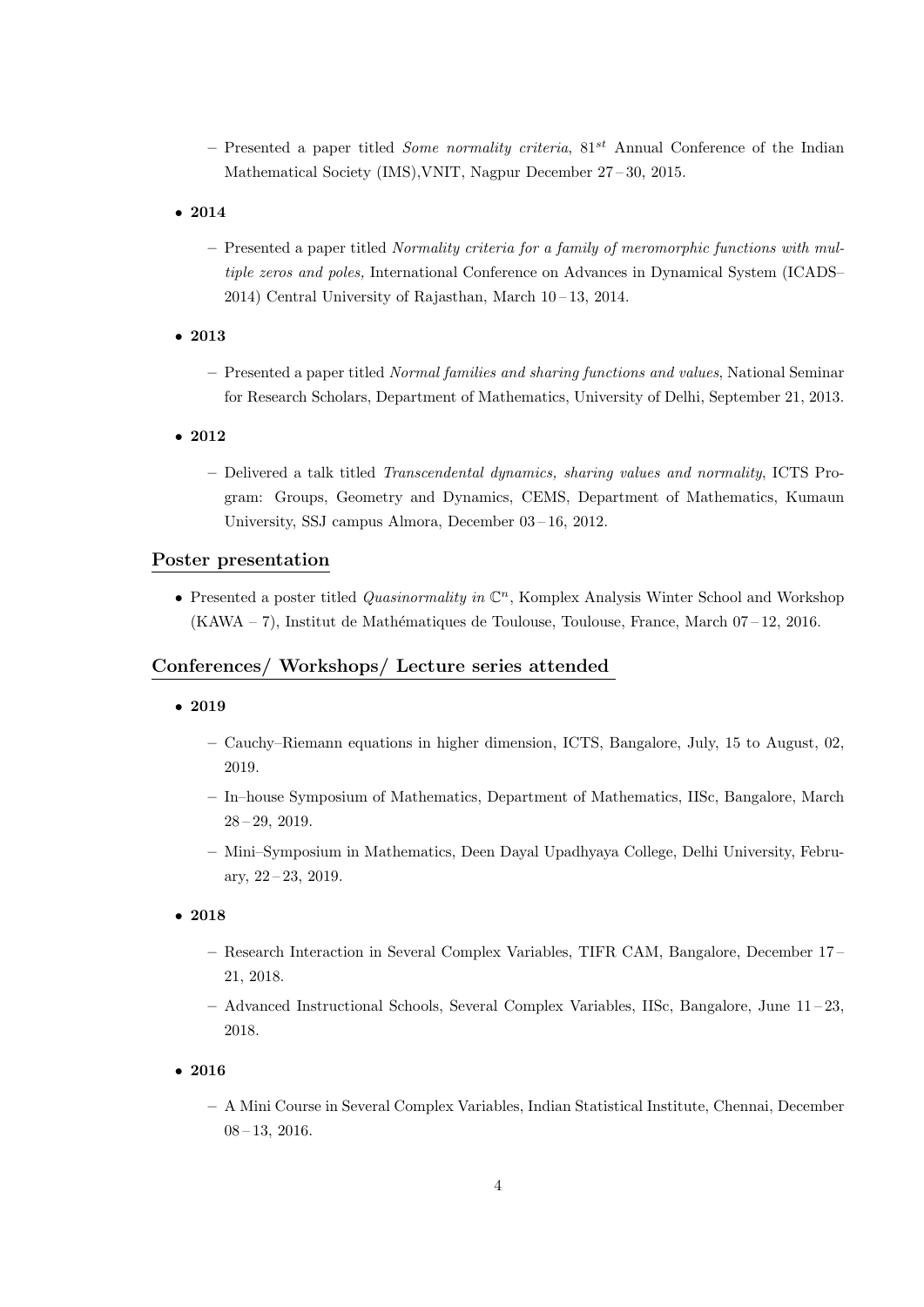- Presented a paper titled *Some normality criteria*,  $81^{st}$  Annual Conference of the Indian Mathematical Society (IMS),VNIT, Nagpur December 27 – 30, 2015.
- 2014
	- Presented a paper titled Normality criteria for a family of meromorphic functions with multiple zeros and poles, International Conference on Advances in Dynamical System (ICADS– 2014) Central University of Rajasthan, March  $10-13$ , 2014.
- 2013
	- Presented a paper titled Normal families and sharing functions and values, National Seminar for Research Scholars, Department of Mathematics, University of Delhi, September 21, 2013.
- 2012
	- Delivered a talk titled Transcendental dynamics, sharing values and normality, ICTS Program: Groups, Geometry and Dynamics, CEMS, Department of Mathematics, Kumaun University, SSJ campus Almora, December 03 – 16, 2012.

## Poster presentation

• Presented a poster titled *Quasinormality in*  $\mathbb{C}^n$ , Komplex Analysis Winter School and Workshop (KAWA – 7), Institut de Math´ematiques de Toulouse, Toulouse, France, March 07 – 12, 2016.

#### Conferences/ Workshops/ Lecture series attended

- 2019
	- Cauchy–Riemann equations in higher dimension, ICTS, Bangalore, July, 15 to August, 02, 2019.
	- In–house Symposium of Mathematics, Department of Mathematics, IISc, Bangalore, March 28 – 29, 2019.
	- Mini–Symposium in Mathematics, Deen Dayal Upadhyaya College, Delhi University, February,  $22 - 23$ ,  $2019$ .
- 2018
	- Research Interaction in Several Complex Variables, TIFR CAM, Bangalore, December 17 21, 2018.
	- Advanced Instructional Schools, Several Complex Variables, IISc, Bangalore, June 11 23, 2018.
- 2016
	- A Mini Course in Several Complex Variables, Indian Statistical Institute, Chennai, December 08 – 13, 2016.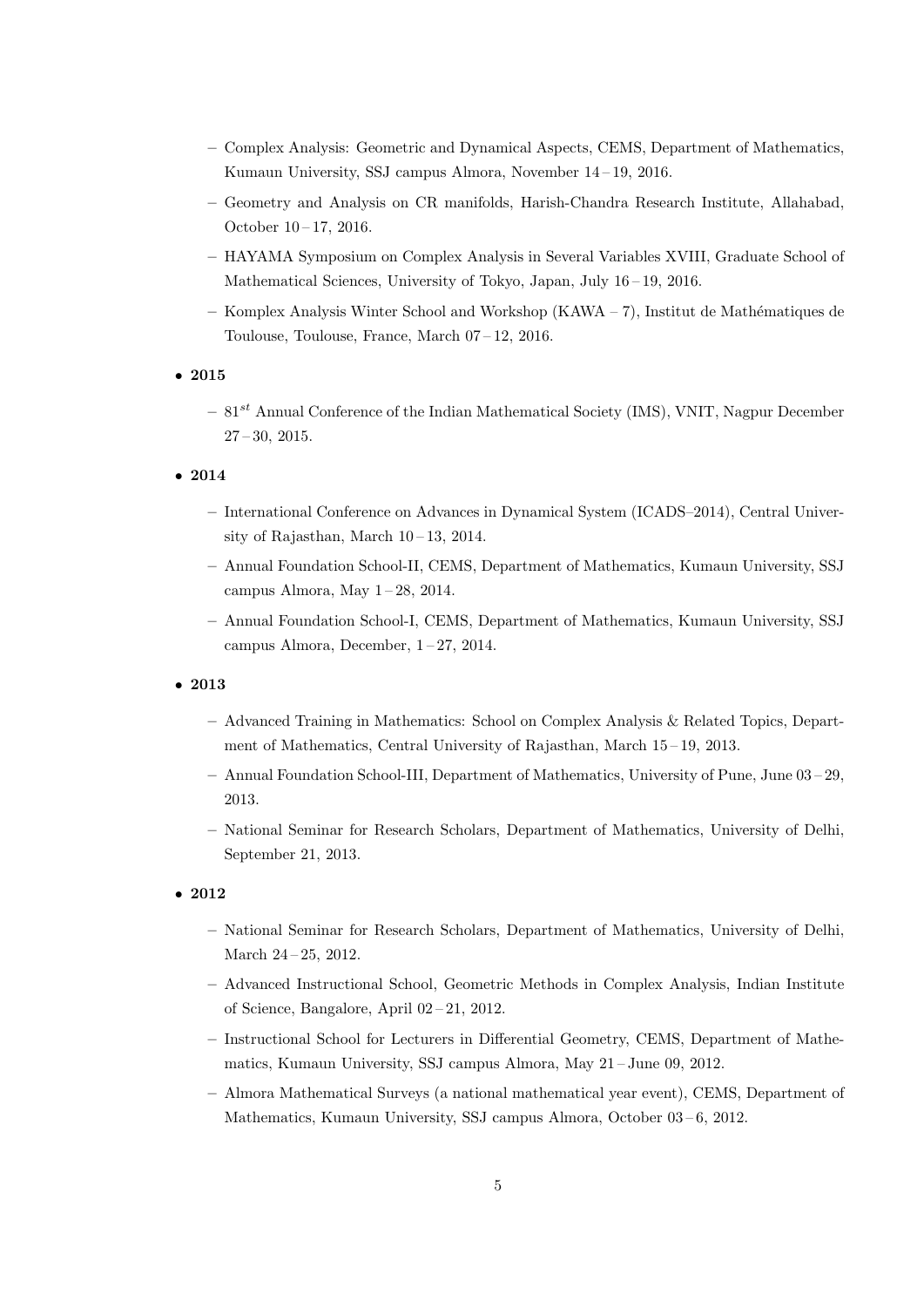- Complex Analysis: Geometric and Dynamical Aspects, CEMS, Department of Mathematics, Kumaun University, SSJ campus Almora, November 14 – 19, 2016.
- Geometry and Analysis on CR manifolds, Harish-Chandra Research Institute, Allahabad, October 10 – 17, 2016.
- HAYAMA Symposium on Complex Analysis in Several Variables XVIII, Graduate School of Mathematical Sciences, University of Tokyo, Japan, July 16 – 19, 2016.
- Komplex Analysis Winter School and Workshop (KAWA 7), Institut de Mathématiques de Toulouse, Toulouse, France, March 07 – 12, 2016.

• 2015

 $-81^{st}$  Annual Conference of the Indian Mathematical Society (IMS), VNIT, Nagpur December  $27 - 30$ , 2015.

• 2014

- International Conference on Advances in Dynamical System (ICADS–2014), Central University of Rajasthan, March  $10-13$ , 2014.
- Annual Foundation School-II, CEMS, Department of Mathematics, Kumaun University, SSJ campus Almora, May 1 – 28, 2014.
- Annual Foundation School-I, CEMS, Department of Mathematics, Kumaun University, SSJ campus Almora, December, 1 – 27, 2014.

• 2013

- Advanced Training in Mathematics: School on Complex Analysis & Related Topics, Department of Mathematics, Central University of Rajasthan, March 15 – 19, 2013.
- Annual Foundation School-III, Department of Mathematics, University of Pune, June 03 29, 2013.
- National Seminar for Research Scholars, Department of Mathematics, University of Delhi, September 21, 2013.
- 2012
	- National Seminar for Research Scholars, Department of Mathematics, University of Delhi, March 24 – 25, 2012.
	- Advanced Instructional School, Geometric Methods in Complex Analysis, Indian Institute of Science, Bangalore, April 02 – 21, 2012.
	- Instructional School for Lecturers in Differential Geometry, CEMS, Department of Mathematics, Kumaun University, SSJ campus Almora, May 21 – June 09, 2012.
	- Almora Mathematical Surveys (a national mathematical year event), CEMS, Department of Mathematics, Kumaun University, SSJ campus Almora, October 03-6, 2012.